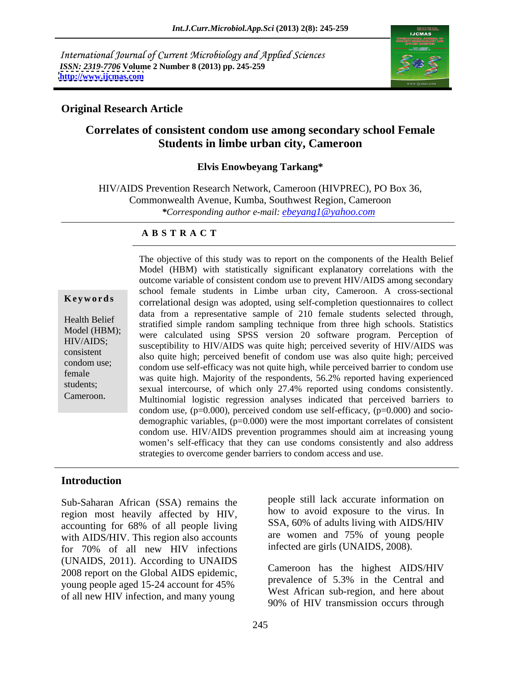International Journal of Current Microbiology and Applied Sciences *ISSN: 2319-7706* **Volume 2 Number 8 (2013) pp. 245-259 <http://www.ijcmas.com>**



## **Original Research Article**

## **Correlates of consistent condom use among secondary school Female Students in limbe urban city, Cameroon**

### **Elvis Enowbeyang Tarkang\***

HIV/AIDS Prevention Research Network, Cameroon (HIVPREC), PO Box 36, Commonwealth Avenue, Kumba, Southwest Region, Cameroon *\*Corresponding author e-mail: ebeyang1@yahoo.com*

### **A B S T R A C T**

**Keywords**correlational design was adopted, using self-completion questionnaires to collect Health Belief stratified simple random sampling technique from three high schools. Statistics Model (HBM); were calculated using SPSS version 20 software program. Perception of HIV/AIDS; susceptibility to HIV/AIDS was quite high; perceived severity of HIV/AIDS was experience also quite high; perceived benefit of condom use was also quite high; perceived condom use;<br>
condom use self-efficacy was not quite high, while perceived barrier to condom use female<br>was quite high. Majority of the respondents, 56.2% reported having experienced students;<br>sexual intercourse, of which only 27.4% reported using condoms consistently. The objective of this study was to report on the components of the Health Belief<br>
Model (HBM) with statistically significant explanatory correlations with the<br>
outcome variable of consistent condom use to prevent HIV/AIDS Model (HBM) with statistically significant explanatory correlations with the outcome variable of consistent condom use to prevent HIV/AIDS among secondary school female students in Limbe urban city, Cameroon. A cross-sectional data from a representative sample of 210 female students selected through, Multinomial logistic regression analyses indicated that perceived barriers to condom use,  $(p=0.000)$ , perceived condom use self-efficacy,  $(p=0.000)$  and sociodemographic variables,  $(p=0.000)$  were the most important correlates of consistent condom use. HIV/AIDS prevention programmes should aim at increasing young women's self-efficacy that they can use condoms consistently and also address strategies to overcome gender barriers to condom access and use.

### **Introduction**

Sub-Saharan African (SSA) remains the region most heavily affected by HIV, accounting for 68% of all people living with AIDS/HIV. This region also accounts for 70% of all new HIV infections intected are girls (UNAIDS, 2008). (UNAIDS, 2011). According to UNAIDS 2008 report on the Global AIDS epidemic, young people aged 15-24 account for 45% of all new HIV infection, and many young

people still lack accurate information on how to avoid exposure to the virus. In SSA, 60% of adults living with AIDS/HIV are women and 75% of young people infected are girls (UNAIDS, 2008).

Cameroon has the highest AIDS/HIV prevalence of 5.3% in the Central and West African sub-region, and here about 90% of HIV transmission occurs through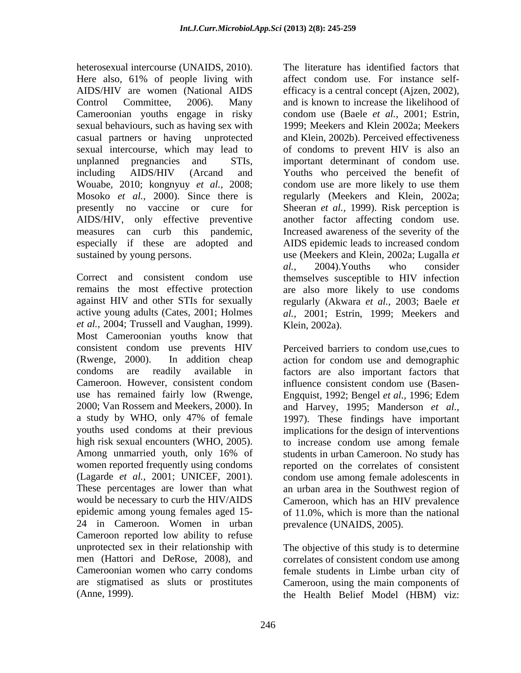heterosexual intercourse (UNAIDS, 2010). Here also, 61% of people living with affect condom use. For instance self-Cameroonian youths engage in risky condom use (Baele *et al.*, 2001; Estrin, unplanned pregnancies and STIs, important determinant of condom use. Wouabe, 2010; kongnyuy *et al.,* 2008;

*et al.,* 2004; Trussell and Vaughan, 1999). Most Cameroonian youths know that consistent condom use prevents HIV (Rwenge, 2000). In addition cheap action for condom use and demographic condoms are readily available in factors are also important factors that Cameroon. However, consistent condom use has remained fairly low (Rwenge, 2000; Van Rossem and Meekers, 2000). In and Harvey, 1995; Manderson *et al.,* a study by WHO, only 47% of female 1997). These findings have important youths used condoms at their previous implications for the design of interventions high risk sexual encounters (WHO, 2005). to increase condom use among female Among unmarried youth, only 16% of students in urban Cameroon. No study has women reported frequently using condoms reported on the correlates of consistent (Lagarde *et al.,* 2001; UNICEF, 2001). These percentages are lower than what an urban area in the Southwest region of would be necessary to curb the HIV/AIDS Cameroon, which has an HIV prevalence epidemic among young females aged 15- of 11.0%, which is more than the national 24 in Cameroon. Women in urban Cameroon reported low ability to refuse unprotected sex in their relationship with The objective of this study is to determine men (Hattori and DeRose, 2008), and correlates of consistent condom use among Cameroonian women who carry condoms are stigmatised as sluts or prostitutes Cameroon, using the main components of (Anne, 1999). the Health Belief Model (HBM) viz:

AIDS/HIV are women (National AIDS efficacy is a central concept (Ajzen, 2002), Control Committee, 2006). Many and is known to increase the likelihood of sexual behaviours, such as having sex with 1999; Meekers and Klein 2002a; Meekers casual partners or having unprotected and Klein, 2002b). Perceived effectiveness sexual intercourse, which may lead to of condoms to prevent HIV is also an including AIDS/HIV (Arcand and Youths who perceived the benefit of Mosoko *et al.,* 2000). Since there is regularly (Meekers and Klein, 2002a; presently no vaccine or cure for Sheeran *et al.*, 1999). Risk perception is AIDS/HIV, only effective preventive another factor affecting condom use. measures can curb this pandemic, Increased awareness of the severity of the especially if these are adopted and AIDS epidemic leads to increased condom sustained by young persons. use (Meekers and Klein, 2002a; Lugalla *et*  Correct and consistent condom use themselves susceptible to HIV infection remains the most effective protection are also more likely to use condoms against HIV and other STIs for sexually regularly (Akwara *et al.,* 2003; Baele *et*  active young adults (Cates, 2001; Holmes *al.,* 2001; Estrin, 1999; Meekers and The literature has identified factors that affect condom use. For instance self condom use (Baele *et al.,* 2001; Estrin, important determinant of condom use. condom use are more likely to use them *al.,* 2004).Youths who consider Klein, 2002a).

> Perceived barriers to condom use,cues to influence consistent condom use (Basen- Engquist, 1992; Bengel *et al.,* 1996; Edem students in urban Cameroon. No study has condom use among female adolescents in prevalence (UNAIDS, 2005).

female students in Limbe urban city of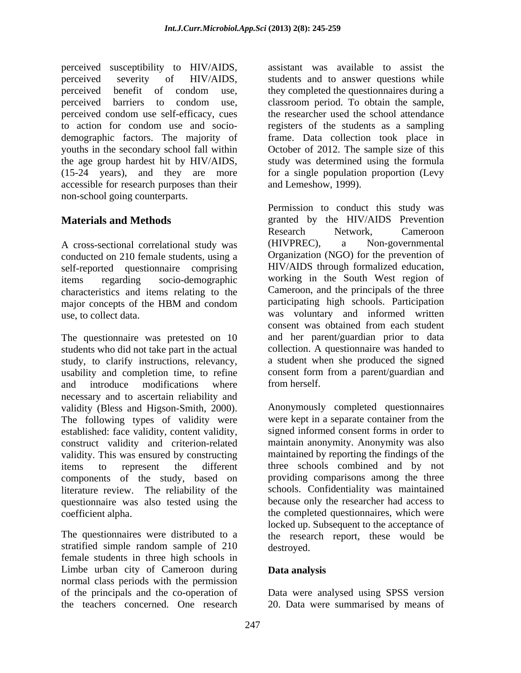perceived susceptibility to HIV/AIDS, perceived severity of HIV/AIDS, students and to answer questions while perceived benefit of condom use, they completed the questionnaires during a perceived barriers to condom use, classroom period. To obtain the sample, perceived condom use self-efficacy, cues to action for condom use and socio- registers of the students as a sampling demographic factors. The majority of frame. Data collection took place in youths in the secondary school fall within October of 2012. The sample size of this the age group hardest hit by HIV/AIDS, study was determined using the formula (15-24 years), and they are more for a single population proportion (Levy accessible for research purposes than their non-school going counterparts.

conducted on 210 female students, using a self-reported questionnaire comprising characteristics and items relating to the

The questionnaire was pretested on 10 students who did not take part in the actual collection. A questionnaire was handed to study, to clarify instructions, relevancy, usability and completion time, to refine consent form<br>and introduce modifications where from herself. and introduce modifications where from herself. necessary and to ascertain reliability and validity (Bless and Higson-Smith, 2000). The following types of validity were established: face validity, content validity, construct validity and criterion-related validity. This was ensured by constructing items to represent the different three schools combined and by not components of the study, based on literature review. The reliability of the questionnaire was also tested using the

stratified simple random sample of 210 destroved. female students in three high schools in Limbe urban city of Cameroon during **Data analysis** normal class periods with the permission of the principals and the co-operation of Data were analysed using SPSS version

assistant was available to assist the the researcher used the school attendance and Lemeshow, 1999).

**Materials and Methods** granted by the HIV/AIDS Prevention A cross-sectional correlational study was (HIVPREC), a Non-governmental items regarding socio-demographic working in the South West region of major concepts of the HBM and condom participating high schools. Participation use, to collect data. was voluntary and informed written Permission to conduct this study was Research Network, Cameroon (HIVPREC), a Non-governmental Organization (NGO) for the prevention of HIV/AIDS through formalized education, Cameroon, and the principals of the three participating high schools. Participation consent was obtained from each student and her parent/guardian prior to data a student when she produced the signed consent form from a parent/guardian and from herself.

coefficient alpha. the completed questionnaires, which were The questionnaires were distributed to a the research report, these would be Anonymously completed questionnaires were kept in a separate container from the signed informed consent forms in order to maintain anonymity. Anonymity was also maintained by reporting the findings of the providing comparisons among the three schools. Confidentiality was maintained because only the researcher had access to locked up. Subsequent to the acceptance of destroyed.

## **Data analysis**

the teachers concerned. One research 20. Data were summarised by means of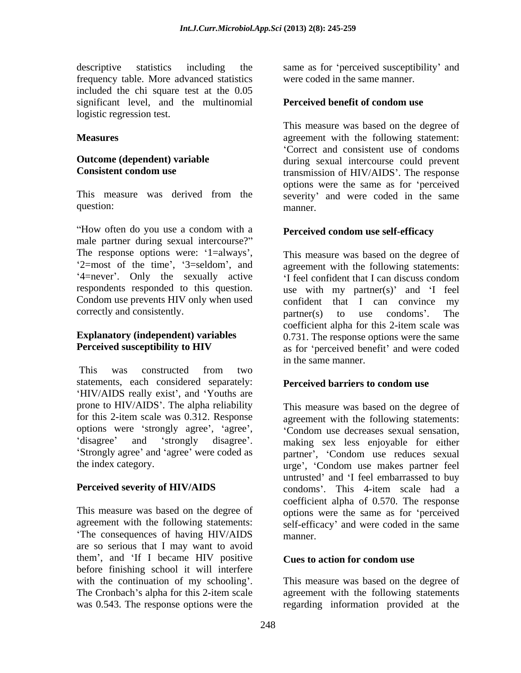descriptive statistics including the same as for perceived susceptibility' and frequency table. More advanced statistics included the chi square test at the 0.05 significant level, and the multinomial logistic regression test.

How often do you use a condom with a **Perceived condom use self-efficacy** male partner during sexual intercourse? The response options were: '1=always', '2=most of the time', '3=seldom', and Condom use prevents HIV only when used confident that I can convince my correctly and consistently. The partner(s) to use condoms'. The

This was constructed from two statements, each considered separately: 'HIV/AIDS really exist', and 'Youths are prone to HIV/AIDS . The alpha reliability This measure was based on the degree of options were 'strongly agree', 'agree', 'Condom use decreases sexual sensation. 'Strongly agree' and 'agree' were coded as

The consequences of having HIV/AIDS are so serious that I may want to avoid them', and 'If I became HIV positive before finishing school it will interfere with the continuation of my schooling'.

were coded in the same manner.

## **Perceived benefit of condom use**

**Measures agreement** with the following statement: **Outcome (dependent) variable** during sexual intercourse could prevent **Consistent condom use** transmission of HIV/AIDS'. The response This measure was derived from the severity' and were coded in the same question: manner. This measure was based on the degree of Correct and consistent use of condoms options were the same as for 'perceived manner.

## **Perceived condom use self-efficacy**

2=most of the time', '3=seldom', and agreement with the following statements: 4=never'. Only the sexually active 'I feel confident that I can discuss condom respondents responded to this question. use with my partner(s) and 'I feel **Explanatory (independent) variables** 0.731. The response options were the same **Perceived susceptibility to HIV** as for 'perceived benefit' and were coded This measure was based on the degree of confident that I can convince partner(s) to use condoms'. The coefficient alpha for this 2-item scale was in the same manner.

### **Perceived barriers to condom use**

for this 2-item scale was 0.312. Response agreement with the following statements: disagree' and 'strongly disagree'. making sex less enjoyable for either the index category.<br>
urge', 'Condom use makes partner feel **Perceived severity of HIV/AIDS** condoms'. This 4-item scale had a This measure was based on the degree of options were the same as for 'perceived agreement with the following statements: self-efficacy and were coded in the same Condom use decreases sexual sensation, partner', 'Condom use reduces sexual untrusted' and 'I feel embarrassed to buy coefficient alpha of 0.570. The response manner.

### **Cues to action for condom use**

The Cronbach's alpha for this 2-item scale agreement with the following statements was 0.543. The response options were the regarding information provided at theThis measure was based on the degree of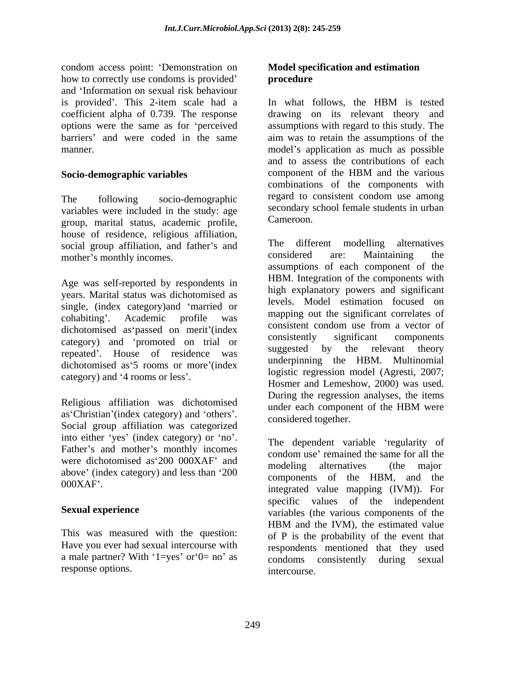condom access point: Demonstration on how to correctly use condoms is provided' **procedure** and 'Information on sexual risk behaviour is provided'. This 2-item scale had a ln what follows, the HBM is tested coefficient alpha of 0.739. The response

variables were included in the study: age secondary s<br>
crown morital status agedomic profile Cameroon. group, marital status, academic profile, house of residence, religious affiliation, social group affiliation, and father's and<br>mother's monthly incomes<br>considered are: Maintaining the

Age was self-reported by respondents in years. Marital status was dichotomised as single, (index category) and 'married or extended as passed on merit (index<br>
extended as the consistent condom use from a vector of<br>
consistently significant components category) and 'promoted on trial or repeated'. House of residence was dichotomised as 5 rooms or more (index

as 'Christian' (index category) and 'others'. Social group affiliation was categorized into either 'yes' (index category) or 'no'. Father's and mother's monthly incomes were dichotomised as 200 000XAF' and<br>modeling alternatives (the major above' (index category) and less than '200

a male partner? With ' $1 = yes'$  or ' $0 = no'$  as response options.

## **Model specification and estimation procedure**

options were the same as for 'perceived assumptions with regard to this study. The barriers' and were coded in the same aim was to retain the assumptions of the manner. The model of the model of application as much as possible manner. **Socio-demographic variables** component of the HBM and the various The following socio-demographic regard to consistent condom use among In what follows, the HBM is tested drawing on its relevant theory and and to assess the contributions of each component of the HBM and the various combinations of the components with secondary school female students in urban Cameroon.

mother's monthly incomes. The considered are: Maintaining the cohabiting'. Academic profile was  $\frac{mapping}{map}$  out the significant correlates of category) and '4 rooms or less'.<br>Hosmer and Lemeshow, 2000) was used. Religious affiliation was dichotomised<br>moder each component of the HBM were The different modelling alternatives considered are: Maintaining the assumptions of each component of the HBM. Integration of the components with high explanatory powers and significant levels. Model estimation focused on mapping out the significant correlates of consistent condom use from a vector of consistently significant components suggested by the relevant theory underpinning the HBM. Multinomial logistic regression model (Agresti, 2007; Hosmer and Lemeshow, 2000) was used.<br>During the regression analyses, the items under each component of the HBM were considered together.

000XAF . integrated value mapping (IVM)). For **Sexual experience** This was measured with the question: of P is the probability of the event that Have you ever had sexual intercourse with respondents mentioned that they used The dependent variable regularity of condom use' remained the same for all the modeling alternatives (the major components of the HBM, and the specific values of the independent HBM and the IVM), the estimated value condoms consistently during sexual intercourse.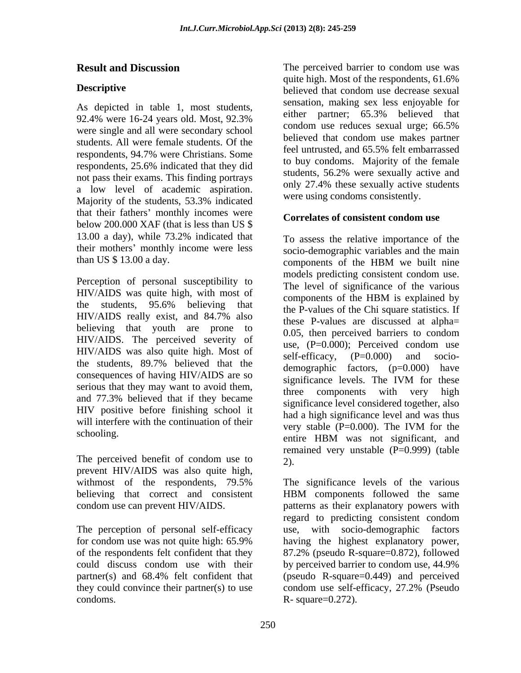As depicted in table 1, most students,<br>
and the partner; 65.3% believed that were single and all were secondary school students. All were female students. Of the the beneved that condom use makes partner<br>feel untrusted, and 65.5% felt embarrassed respondents, 25.6% indicated that they did not pass their exams. This finding portrays a low level of academic aspiration. Majority of the students, 53.3% indicated were using condoms consistently. that their fathers' monthly incomes were below 200.000 XAF (that is less than US \$ 13.00 a day), while  $73.2\%$  indicated that  $\tau_0$  assess the relative importance of the their mothers' monthly income were less

Perception of personal susceptibility to HIV/AIDS was quite high, with most of the level of significance of the various believing that youth are prone to  $HIV/ALDS$ . The perceived severity of use,  $(P=0.000)$ ; Perceived condom use  $HIV/ALDS$  was also quite high. Most of self-efficacy,  $(P=0.000)$  and socioconsequences of having HIV/AIDS are so significance levels. The IVM for these serious that they may want to avoid them,<br>three components with very high HIV positive before finishing school it will interfere with the continuation of their<br>
very stable  $(P=0.000)$ . The IVM for the

prevent HIV/AIDS was also quite high, believing that correct and consistent HBM components followed the same

The perception of personal self-efficacy they could convince their partner(s) to use condom use self-efficacy,  $27.2\%$  (Pseudo condoms. R- square=0.272).

**Result and Discussion** The perceived barrier to condom use was **Descriptive Descriptive** *believed* that condom use decrease sexual 92.4% were 16-24 years old. Most,  $92.3\%$  entiremplatured,  $0.3\%$  beneved that respondents, 94.7% were Christians. Some quite high. Most of the respondents, 61.6% believed that condom use decrease sexual sensation, making sex less enjoyable for either partner; 65.3% believed that condom use reduces sexual urge; 66.5% believed that condom use makes partner feel untrusted, and 65.5% felt embarrassed to buy condoms. Majority of the female students, 56.2% were sexually active and only 27.4% these sexually active students were using condoms consistently.

# **Correlates of consistent condom use**

than US \$ 13.00 a day. components of the HBM we built nine the students,  $95.6\%$  believing that  $\frac{\text{components of the IDM is explained by}}{\text{the D values of the Chi square statistics.}$  $HIV/ALDS$  really exist, and  $84.7\%$  also these **P** values are discussed at alphathe students, 89.7% believed that the demographic factors  $(n-0.000)$  have and  $77.3\%$  believed that if they became  $\frac{1}{2}$  implicance level considered together also schooling. The TVM for the entire HBM was not significant, and The perceived benefit of condom use to  $\overline{2}$ To assess the relative importance of the socio-demographic variables and the main components of the HBM we built nine models predicting consistent condom use. The level of significance of the various components of the HBM is explained by the P-values of the Chi square statistics. If these P-values are discussed at alpha= 0.05, then perceived barriers to condom use, (P=0.000); Perceived condom use self-efficacy, (P=0.000) and socio demographic factors, (p=0.000) have significance levels. The IVM for these components with very significance level considered together, also had a high significance level and was thus very stable (P=0.000). The IVM for the entire HBM was not significant, and remained very unstable (P=0.999) (table 2).

withmost of the respondents, 79.5% The significance levels of the various condom use can prevent HIV/AIDS. patterns as their explanatory powers with for condom use was not quite high: 65.9% of the respondents felt confident that they 87.2% (pseudo R-square=0.872), followed could discuss condom use with their by perceived barrier to condom use, 44.9% partner(s) and 68.4% felt confident that (pseudo R-square=0.449) and perceived HBM components followed the same regard to predicting consistent condom use, with socio-demographic factors having the highest explanatory power, (pseudo R-square=0.449) and perceived condom use self-efficacy, 27.2% (Pseudo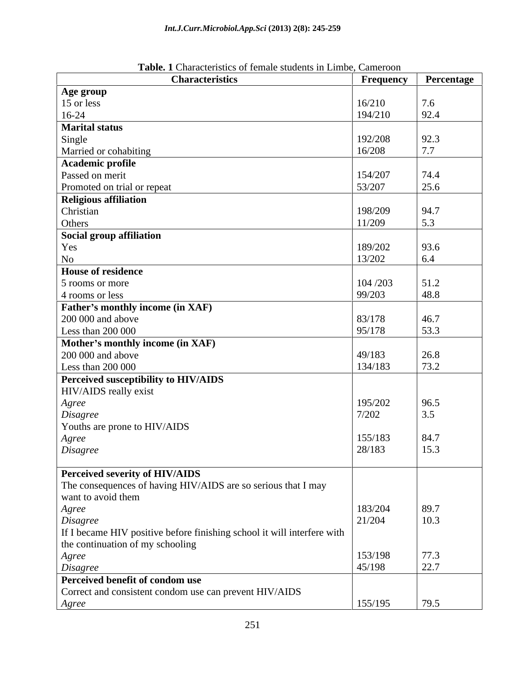| $=$ $\frac{1}{2}$ $\frac{1}{2}$ $\frac{1}{2}$ $\frac{1}{2}$ $\frac{1}{2}$ $\frac{1}{2}$ $\frac{1}{2}$ $\frac{1}{2}$ $\frac{1}{2}$ $\frac{1}{2}$ $\frac{1}{2}$ $\frac{1}{2}$ $\frac{1}{2}$ $\frac{1}{2}$ $\frac{1}{2}$ $\frac{1}{2}$ $\frac{1}{2}$ $\frac{1}{2}$ $\frac{1}{2}$ $\frac{1}{2}$ $\frac{1}{2}$ $\frac{1}{2$<br><b>Characteristics</b> | <b>Frequency</b> | Percentage                                          |
|--------------------------------------------------------------------------------------------------------------------------------------------------------------------------------------------------------------------------------------------------------------------------------------------------------------------------------------------------|------------------|-----------------------------------------------------|
| Age group                                                                                                                                                                                                                                                                                                                                        |                  |                                                     |
| 15 or less                                                                                                                                                                                                                                                                                                                                       | 16/210           | 7.6                                                 |
| $16-24$                                                                                                                                                                                                                                                                                                                                          | 194/210          | 92.4                                                |
| <b>Marital status</b>                                                                                                                                                                                                                                                                                                                            |                  |                                                     |
|                                                                                                                                                                                                                                                                                                                                                  | 192/208          | 92.3                                                |
| Single<br>Married or cohabiting                                                                                                                                                                                                                                                                                                                  | 16/208           | 7.7                                                 |
|                                                                                                                                                                                                                                                                                                                                                  |                  |                                                     |
| Academic profile                                                                                                                                                                                                                                                                                                                                 |                  |                                                     |
| Passed on merit                                                                                                                                                                                                                                                                                                                                  | 154/207          | 74.4                                                |
| Promoted on trial or repeat                                                                                                                                                                                                                                                                                                                      | 53/207           | 25.6                                                |
| <b>Religious affiliation</b>                                                                                                                                                                                                                                                                                                                     |                  |                                                     |
| Christian                                                                                                                                                                                                                                                                                                                                        | 198/209          | 94.7                                                |
| Others                                                                                                                                                                                                                                                                                                                                           | 11/209           | 5.3                                                 |
| Social group affiliation                                                                                                                                                                                                                                                                                                                         |                  |                                                     |
| Yes                                                                                                                                                                                                                                                                                                                                              | 189/202          | 93.6                                                |
| $\rm No$                                                                                                                                                                                                                                                                                                                                         | 13/202           | 6.4                                                 |
| <b>House of residence</b>                                                                                                                                                                                                                                                                                                                        |                  |                                                     |
| 5 rooms or more                                                                                                                                                                                                                                                                                                                                  | 104/203          | $\boxed{51.2}$                                      |
| 4 rooms or less                                                                                                                                                                                                                                                                                                                                  | 99/203           | 48.8                                                |
| <b>Father's monthly income (in XAF)</b>                                                                                                                                                                                                                                                                                                          |                  |                                                     |
| 200 000 and above                                                                                                                                                                                                                                                                                                                                | 83/178           | 46.7                                                |
| Less than 200 000                                                                                                                                                                                                                                                                                                                                | 95/178           | $\begin{array}{ c c }\n53.3 \\ \hline\n\end{array}$ |
|                                                                                                                                                                                                                                                                                                                                                  |                  |                                                     |
| Mother's monthly income (in XAF)                                                                                                                                                                                                                                                                                                                 |                  |                                                     |
| 200 000 and above                                                                                                                                                                                                                                                                                                                                | 49/183           | 26.8                                                |
| Less than 200 000                                                                                                                                                                                                                                                                                                                                | 134/183          | 73.2                                                |
| Perceived susceptibility to HIV/AIDS                                                                                                                                                                                                                                                                                                             |                  |                                                     |
| HIV/AIDS really exist                                                                                                                                                                                                                                                                                                                            |                  |                                                     |
| Agree                                                                                                                                                                                                                                                                                                                                            | 195/202          | 96.5                                                |
| Disagree                                                                                                                                                                                                                                                                                                                                         | 7/202            | 3.5                                                 |
| Youths are prone to HIV/AIDS                                                                                                                                                                                                                                                                                                                     |                  |                                                     |
| Agree                                                                                                                                                                                                                                                                                                                                            | 155/183          | 84.7                                                |
| Disagree                                                                                                                                                                                                                                                                                                                                         | 28/183           | 15.3                                                |
|                                                                                                                                                                                                                                                                                                                                                  |                  |                                                     |
| Perceived severity of HIV/AIDS                                                                                                                                                                                                                                                                                                                   |                  |                                                     |
| The consequences of having HIV/AIDS are so serious that I may                                                                                                                                                                                                                                                                                    |                  |                                                     |
| want to avoid them                                                                                                                                                                                                                                                                                                                               |                  |                                                     |
| Agree                                                                                                                                                                                                                                                                                                                                            | 183/204          | 89.7                                                |
| Disagree                                                                                                                                                                                                                                                                                                                                         | 21/204           | 10.3                                                |
|                                                                                                                                                                                                                                                                                                                                                  |                  |                                                     |
| If I became HIV positive before finishing school it will interfere with                                                                                                                                                                                                                                                                          |                  |                                                     |
| the continuation of my schooling                                                                                                                                                                                                                                                                                                                 |                  |                                                     |
| Agree                                                                                                                                                                                                                                                                                                                                            | 153/198          | 77.3                                                |
| Disagree                                                                                                                                                                                                                                                                                                                                         | 45/198           | 22.7                                                |
| Perceived benefit of condom use                                                                                                                                                                                                                                                                                                                  |                  |                                                     |
| Correct and consistent condom use can prevent HIV/AIDS                                                                                                                                                                                                                                                                                           |                  |                                                     |
| Agree                                                                                                                                                                                                                                                                                                                                            | 155/195          | 79.5                                                |

**Table. 1** Characteristics of female students in Limbe, Cameroon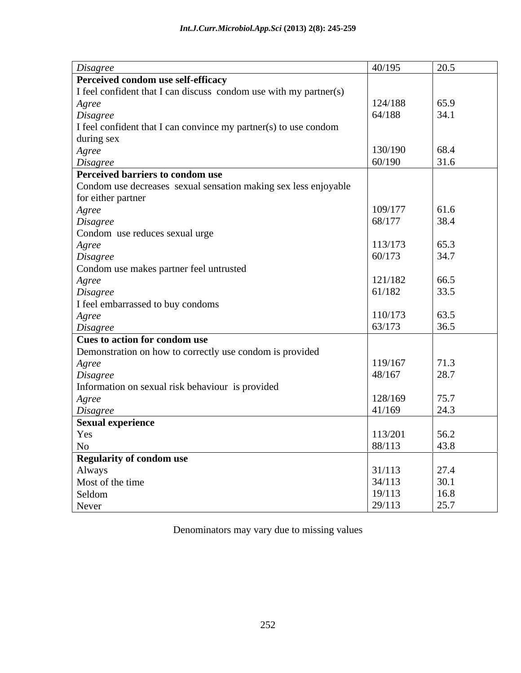| Disagree                                                                              | 40/195  | 20.5                                                         |
|---------------------------------------------------------------------------------------|---------|--------------------------------------------------------------|
| Perceived condom use self-efficacy                                                    |         |                                                              |
| I feel confident that I can discuss condom use with my partner(s)                     |         |                                                              |
| Agree                                                                                 | 124/188 | 65.9                                                         |
| Disagree                                                                              | 64/188  | 34.1                                                         |
| I feel confident that I can convince my partner(s) to use condom                      |         |                                                              |
| during sex                                                                            |         |                                                              |
| Agree                                                                                 | 130/190 | 68.4                                                         |
| Disagree                                                                              | 60/190  | 31.6                                                         |
| Perceived barriers to condom use                                                      |         |                                                              |
| Condom use decreases sexual sensation making sex less enjoyable                       |         |                                                              |
| for either partner                                                                    |         |                                                              |
| Agree                                                                                 | 109/177 | 61.6                                                         |
| Disagree                                                                              | 68/177  | 38.4                                                         |
| Condom use reduces sexual urge                                                        |         |                                                              |
| Agree                                                                                 | 113/173 | 65.3                                                         |
| Disagree                                                                              | 60/173  | 34.7                                                         |
| Condom use makes partner feel untrusted                                               |         |                                                              |
| Agree                                                                                 | 121/182 | 66.5                                                         |
| Disagree                                                                              | 61/182  | 33.5                                                         |
| I feel embarrassed to buy condoms                                                     |         |                                                              |
| Agree                                                                                 | 110/173 | 63.5                                                         |
| Disagree                                                                              | 63/173  | 36.5                                                         |
| Cues to action for condom use                                                         |         |                                                              |
| Demonstration on how to correctly use condom is provided                              |         |                                                              |
| Agree                                                                                 | 119/167 | 71.3                                                         |
| Disagree                                                                              | 48/167  | 28.7                                                         |
| Information on sexual risk behaviour is provided                                      |         |                                                              |
| Agree                                                                                 | 128/169 | 75.7                                                         |
| Disagree                                                                              | 41/169  | 24.3                                                         |
| <b>Sexual experience</b>                                                              |         |                                                              |
| Yes                                                                                   | 113/201 | 56.2                                                         |
|                                                                                       | 88/113  | 43.8                                                         |
|                                                                                       |         |                                                              |
|                                                                                       | 31/113  |                                                              |
|                                                                                       | 34/113  |                                                              |
|                                                                                       | 19/113  |                                                              |
| No<br>No<br>Regularity of condom use<br>Always<br>Most of the time<br>Seldom<br>Never | 29/113  | $\begin{array}{ l} 27.4 \\ 30.1 \\ 16.8 \\ 25.7 \end{array}$ |
|                                                                                       |         |                                                              |

Denominators may vary due to missing values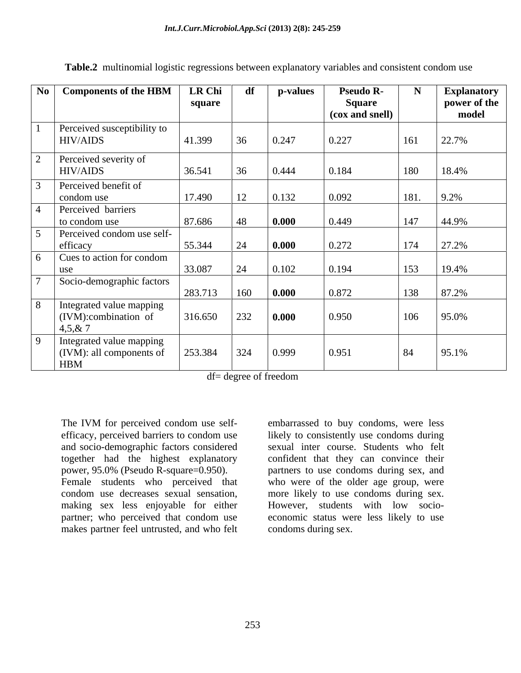| No Components of the HBM                         | <b>LR Chi</b> | df          | p-values            | <b>Pseudo R-</b>          |      | <b>Explanatory</b>    |
|--------------------------------------------------|---------------|-------------|---------------------|---------------------------|------|-----------------------|
|                                                  | square        |             |                     | Square<br>(cox and snell) |      | power of the<br>model |
| Perceived susceptibility to                      |               |             |                     |                           |      |                       |
| <b>HIV/AIDS</b>                                  | 41.399        | 36          | 0.247               | 0.227                     | 161  | 22.7%                 |
| Perceived severity of                            |               |             |                     |                           |      |                       |
| <b>HIV/AIDS</b>                                  | 36.541        |             | 0.444               | 0.184                     | 180  | 18.4%                 |
| Perceived benefit of                             |               |             |                     |                           |      |                       |
| condom use                                       | 17.490        | $\vert$ 12  | 0.132               | 0.092                     | 181. | 9.2%                  |
| Perceived barriers                               |               |             |                     |                           |      |                       |
| to condom use                                    | 87.686        | 48          | $\vert$ 0.000       | 0.449                     | 147  | $ 44.9\%$             |
| Perceived condom use self-                       |               |             |                     |                           |      |                       |
| efficacy                                         | 55.344        |             | $\boxed{0.000}$     | 0.272                     | 174  | 27.2%                 |
| Cues to action for condom                        |               |             |                     |                           |      |                       |
| use                                              | 33.087        | $\sqrt{24}$ | 0.102               | 0.194                     | 153  | 19.4%                 |
| Socio-demographic factors                        | 283.713       | 160         | $\bf{0.000}$        | 0.872                     | 138  | 87.2%                 |
|                                                  |               |             |                     |                           |      |                       |
| Integrated value mapping<br>(IVM):combination of | 316.650       | 232         | $\vert 0.000 \vert$ | 0.950                     | 106  | 95.0%                 |
| 4,5,8,7                                          |               |             |                     |                           |      |                       |
| Integrated value mapping                         |               |             |                     |                           |      |                       |
| (IVM): all components of                         | 253.384       | 324         | 0.999               | 0.951                     | 84   | 95.1%                 |
| <b>HBM</b>                                       |               |             |                     |                           |      |                       |

**Table.2** multinomial logistic regressions between explanatory variables and consistent condom use

df= degree of freedom

The IVM for perceived condom use self-<br>
embarrassed to buy condoms, were less efficacy, perceived barriers to condom use likely to consistently use condoms during and socio-demographic factors considered together had the highest explanatory confident that they can convince their power, 95.0% (Pseudo R-square=0.950). partners to use condoms during sex, and Female students who perceived that who were of the older age group, were condom use decreases sexual sensation, more likely to use condoms during sex. making sex less enjoyable for either partner; who perceived that condom use economic status were less likely to use makes partner feel untrusted, and who felt

embarrassed to buy condoms, were less sexual inter course. Students who felt However, students with low socio condoms during sex.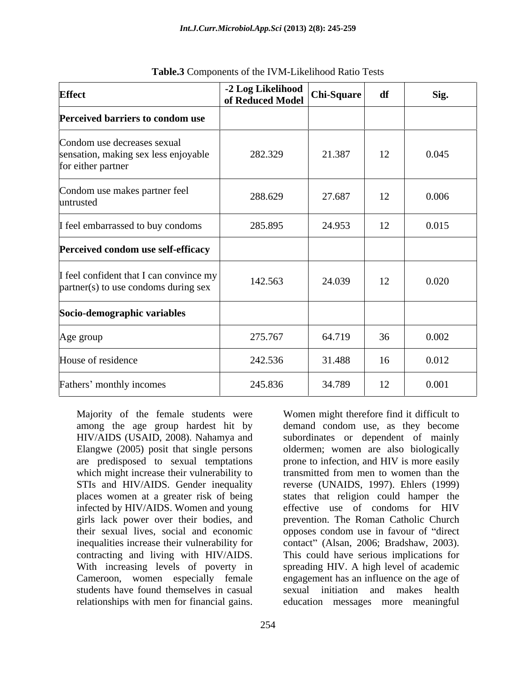| <b>Effect</b>                                                                             | -2 Log Likelihood<br>of Reduced Model | Chi-Square | df | Sig.  |
|-------------------------------------------------------------------------------------------|---------------------------------------|------------|----|-------|
| Perceived barriers to condom use                                                          |                                       |            |    |       |
| Condom use decreases sexual<br>sensation, making sex less enjoyable<br>for either partner | 282.329                               | 21.387     | 12 | 0.045 |
| Condom use makes partner feel<br>untrusted                                                | 288.629                               | 27.687     | 12 | 0.006 |
| I feel embarrassed to buy condoms                                                         | 285.895                               | 24.953     | 12 | 0.015 |
| Perceived condom use self-efficacy                                                        |                                       |            |    |       |
| I feel confident that I can convince my<br>partner(s) to use condoms during sex           | 142.563                               | 24.039     | 12 | 0.020 |
| Socio-demographic variables                                                               |                                       |            |    |       |
| Age group                                                                                 | 275.767                               | 64.719     | 36 | 0.002 |
| House of residence                                                                        | 242.536                               | 31.488     | 16 | 0.012 |
| Fathers' monthly incomes                                                                  | 245.836                               | 34.789     | 12 | 0.001 |

**Table.3** Components of the IVM-Likelihood Ratio Tests

Majority of the female students were Women might therefore find it difficult to among the age group hardest hit by demand condom use, as they become HIV/AIDS (USAID, 2008). Nahamya and subordinates or dependent of mainly Elangwe (2005) posit that single persons oldermen; women are also biologically are predisposed to sexual temptations prone to infection, and HIV is more easily which might increase their vulnerability to transmitted from men to women than the STIs and HIV/AIDS. Gender inequality reverse (UNAIDS, 1997). Ehlers (1999) places women at a greater risk of being infected by HIV/AIDS. Women and young girls lack power over their bodies, and prevention. The Roman Catholic Church their sexual lives, social and economic opposes condom use in favour of "direct inequalities increase their vulnerability for contact" (Alsan, 2006; Bradshaw, 2003). contracting and living with HIV/AIDS. This could have serious implications for With increasing levels of poverty in spreading HIV. A high level of academic Cameroon, women especially female students have found themselves in casual sexual initiation and makes health Majority of the female students were Women might therefore find it difficult to HIV/AIDS (USAID, 2008). Nahamya and subordinates or dependent of mainly Elangwe (2005) posit that single persons oldermen; women are also biol

states that religion could hamper the effective use of condoms for HIV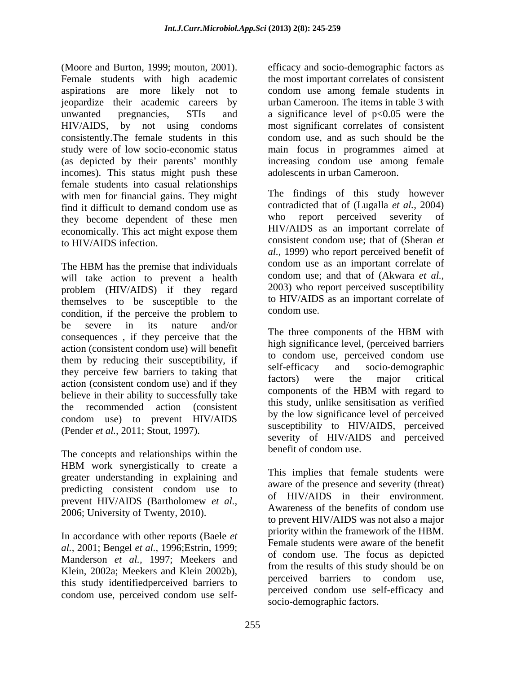(Moore and Burton, 1999; mouton, 2001). efficacy and socio-demographic factors as Female students with high academic the most important correlates of consistent aspirations are more likely not to condom use among female students in jeopardize their academic careers by urban Cameroon. The items in table 3 with unwanted pregnancies,  $STIs$  and a significance level of  $p<0.05$  were the HIV/AIDS, by not using condoms most significant correlates of consistent consistently.The female students in this condom use, and as such should be the study were of low socio-economic status main focus in programmes aimed at (as depicted by their parents' monthly increasing condom use among female incomes). This status might push these female students into casual relationships with men for financial gains. They might find it difficult to demand condom use as contradicted that of (Lugalla *et al.*, 2004) they become dependent of these men who report perceived severity of economically. This act might expose them **HIV/AIDS** as an important correlate of to HIV/AIDS infection. consistent condom use; that of (Sheran *et* 

The HBM has the premise that individuals condom use as an important correlate of will take action to prevent a health problem (HIV/AIDS) if they regard themselves to be susceptible to the to HIV/AID:<br>condition, if the perceive the problem to condom use. condition, if the perceive the problem to condom use. be severe in its nature and/or  $\pi$  d  $(1 - IIPM)^2$ consequences, if they perceive that the The three components of the HBM with action (consistent condom use) will benefit them by reducing their susceptibility, if<br>the self-efficacy and socio-demographic they perceive few barriers to taking that sentences and socio-demographic<br>consistent condom use and if they factors) were the major critical action (consistent condom use) and if they<br>haliaus in their akility to suppose fully take the components of the HBM with regard to believe in their ability to successfully take the recommended action (consistent condom use) to prevent HIV/AIDS (Pender *et al.,* 2011; Stout, 1997).

The concepts and relationships within the HBM work synergistically to create a greater understanding in explaining and predicting consistent condom use to prevent HIV/AIDS (Bartholomew *et al.*,<br>Awareness of the benefits of condom use 2006; University of Twenty, 2010).

*al.,* 2001; Bengel *et al.,* 1996;Estrin, 1999; Manderson *et al.,* 1997; Meekers and Klein, 2002a; Meekers and Klein 2002b),<br>perceived barriers to condom use. this study identifiedperceived barriers to

increasing condom use among female adolescents in urban Cameroon.

The findings of this study however contradicted that of (Lugalla *et al.,* 2004) who report perceived severity of HIV/AIDS as an important correlate of *al.,* 1999) who report perceived benefit of condom use as an important correlate of condom use; and that of (Akwara *et al.,* 2003) who report perceived susceptibility to HIV/AIDS as an important correlate of condom use.

The three components of the HBM with high significance level, (perceived barriers to condom use, perceived condom use self-efficacy and socio-demographic factors) were the major critical components of the HBM with regard to this study, unlike sensitisation as verified by the low significance level of perceived susceptibility to HIV/AIDS, perceived severity of HIV/AIDS and perceived benefit of condom use.

In accordance with other reports (Baele *et* priority within the framework of the HBM. condom use, perceived condom use self-<br>existence condom use self-<br>existence intervals factors. This implies that female students were aware of the presence and severity (threat) of HIV/AIDS in their environment. Awareness of the benefits of condom use to prevent HIV/AIDS was not also a major priority within the framework of the HBM. Female students were aware of the benefit of condom use. The focus as depicted from the results of this study should be on perceived barriers to condom use, perceived condom use self-efficacy and socio-demographic factors.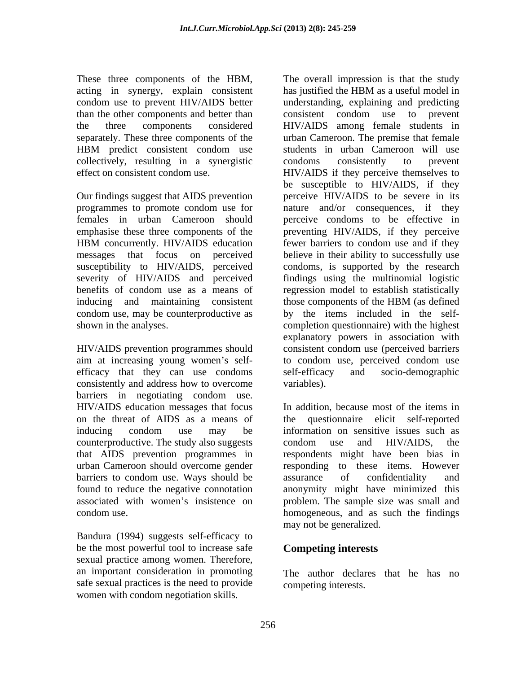acting in synergy, explain consistent has justified the HBM as a useful model in collectively, resulting in a synergistic

inducing and maintaining consistent those components of the HBM (as defined

efficacy that they can use condoms self-efficacy and socio-demographic consistently and address how to overcome barriers in negotiating condom use. counterproductive. The study also suggests condom use and HIV/AIDS, the barriers to condom use. Ways should be

Bandura (1994) suggests self-efficacy to be the most powerful tool to increase safe sexual practice among women. Therefore, an important consideration in promoting The author declares that he has no safe sexual practices is the need to provide women with condom negotiation skills.

These three components of the HBM, The overall impression is that the study condom use to prevent HIV/AIDS better understanding, explaining and predicting than the other components and better than consistent condom use to prevent the three components considered HIV/AIDS among female students in separately. These three components of the urban Cameroon. The premise that female HBM predict consistent condom use students in urban Cameroon will use effect on consistent condom use. HIV/AIDS if they perceive themselves to Our findings suggest that AIDS prevention perceive HIV/AIDS to be severe in its programmes to promote condom use for a nature and/or consequences, if they females in urban Cameroon should perceive condoms to be effective in emphasise these three components of the preventing HIV/AIDS, if they perceive HBM concurrently. HIV/AIDS education fewer barriers to condom use and if they messages that focus on perceived believe in their ability to successfully use susceptibility to HIV/AIDS, perceived condoms, is supported by the research severity of HIV/AIDS and perceived findings using the multinomial logistic benefits of condom use as a means of regression model to establish statistically condom use, may be counterproductive as by the items included in the self shown in the analyses. completion questionnaire) with the highest HIV/AIDS prevention programmes should consistent condom use (perceived barriers aim at increasing young women's self- to condom use, perceived condom use has justified the HBM as a useful model in students in urban Cameroon will use condoms consistently to prevent be susceptible to HIV/AIDS, if they nature and/or consequences, if they fewer barriers to condom use and if they those components of the HBM (as defined explanatory powers in association with self-efficacy and socio-demographic variables).

HIV/AIDS education messages that focus In addition, because most of the items in on the threat of AIDS as a means of the questionnaire elicit self-reported inducing condom use may be information on sensitive issues such as that AIDS prevention programmes in respondents might have been bias in urban Cameroon should overcome gender responding to these items. However found to reduce the negative connotation anonymity might have minimized this associated with women's insistence on problem. The sample size was small and condom use. homogeneous, and as such the findings information on sensitive issues such as condom use and HIV/AIDS, the assurance of confidentiality and may not be generalized.

# **Competing interests**

competing interests.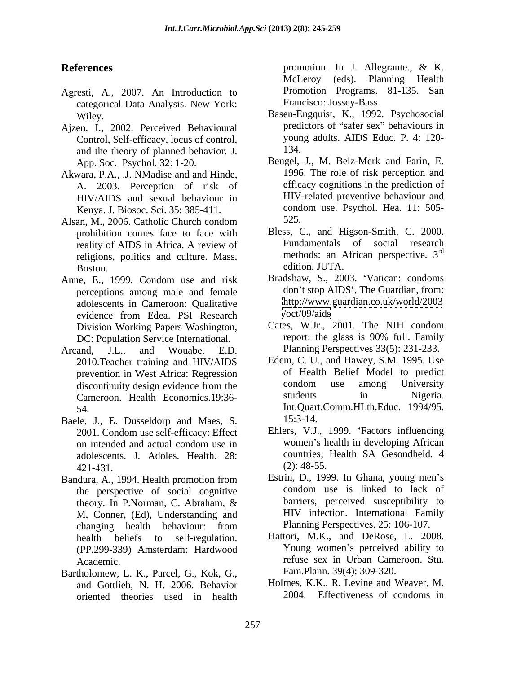- Agresti, A., 2007. An Introduction to categorical Data Analysis. New York:
- Ajzen, I., 2002. Perceived Behavioural Control, Self-efficacy, locus of control, young<br>and the theory of planned behavior I 134. and the theory of planned behavior*.* J.
- Akwara, P.A., .J. NMadise and and Hinde, A. 2003. Perception of risk of Kenya. J. Biosoc. Sci. 35: 385-411.
- Alsan, M., 2006. Catholic Church condom prohibition comes face to face with reality of AIDS in Africa. A review of religions, politics and culture. Mass, methods: an A<br>Boston edition. JUTA. Boston. **Example 3** and the edition. JUTA.
- Anne, E., 1999. Condom use and risk perceptions among male and female adolescents in Cameroon: Qualitative http://www.<br>evidence from Edea PSI Research /oct/09/aids evidence from Edea. PSI Research /oct/09/aids DC: Population Service International.
- Arcand, J.L., and Wouabe, E.D. Planning Perspectives 33(5): 231-233. 2010.Teacher training and HIV/AIDS
- Baele, J., E. Dusseldorp and Maes, S. 15:3-14. 2001. Condom use self-efficacy: Effect  $421-431.$  (2):  $48-55.$
- Bandura, A., 1994. Health promotion from Estrin, D., 1999. In Ghana, young men's<br>the perspective of social cognitive condom use is linked to lack of the perspective of social cognitive M, Conner, (Ed), Understanding and changing health behaviour: from Planning Perspectives. 25: 106-107. (PP.299-339) Amsterdam: Hardwood
- Bartholomew, L. K., Parcel, G., Kok, G., and Gottlieb, N. H. 2006. Behavior oriented theories used in health

**References** promotion. In J. Allegrante., & K. McLeroy (eds). Planning Health Promotion Programs. 81-135. San Francisco: Jossey-Bass.

- Wiley. Basen-Engquist, K., 1992. Psychosocial predictors of "safer sex" behaviours in young adults. AIDS Educ. P. 4: 120- 134.
- App. Soc. Psychol. 32: 1-20. Bengel, J., M. Belz-Merk and Farin, E. HIV/AIDS and sexual behaviour in HIV-related preventive behaviour and<br>Kenya I Biosoc Sci 35:385-411 condom use. Psychol. Hea. 11:505-1996. The role of risk perception and efficacy cognitions in the prediction of HIV-related preventive behaviour and condom use. Psychol. Hea. 11: 505- 525.
	- Bless, C., and Higson-Smith, C. 2000. Fundamentals of social research methods: an African perspective*.* 3 rd edition. JUTA.
	- Bradshaw, S., 2003. Vatican: condoms don't stop AIDS', The Guardian, from: <http://www.guardian.co.uk/world/2003> </oct/09/aids>
- Division Working Papers Washington, Cates, W.Jr., 2001. The NIH condom<br>DC: Population Service International report: the glass is 90% full. Family Cates, W.Jr., 2001. The NIH condom report: the glass is 90% full. Family
- prevention in West Africa: Regression of Health Belief Model to predict<br>discontinuity design evidence from the condom use among University discontinuity design evidence from the condom use among University Cameroon. Health Economics.19:36- 54. Int.Quart.Comm.HLth.Educ. 1994/95. Edem, C. U., and Hawey, S.M. 1995. Use of Health Belief Model to predict condom use among University students in Nigeria. 15:3-14.
- on intended and actual condom use in women's health in developing African adolescents. J. Adoles. Health. 28: countries; Health SA Gesondheid. 4<br>421-431 (2): 48-55. Ehlers, V.J., 1999. Factors influencing women's health in developing African countries; Health SA Gesondheid. 4 (2): 48-55.
- theory. In P.Norman, C. Abraham,  $\&$  barriers, perceived susceptibility to Estrin, D., 1999. In Ghana, young men's condom use is linked to lack of barriers, perceived susceptibility to HIV infection*.* International Family Planning Perspectives. 25: 106-107.
- health beliefs to self-regulation. Hattori, M.K., and DeRose, L. 2008. Academic. refuse sex in Urban Cameroon. Stu. Young women's perceived ability to Fam.Plann. 39(4): 309-320.
	- Holmes, K.K., R. Levine and Weaver, M. 2004. Effectiveness of condoms in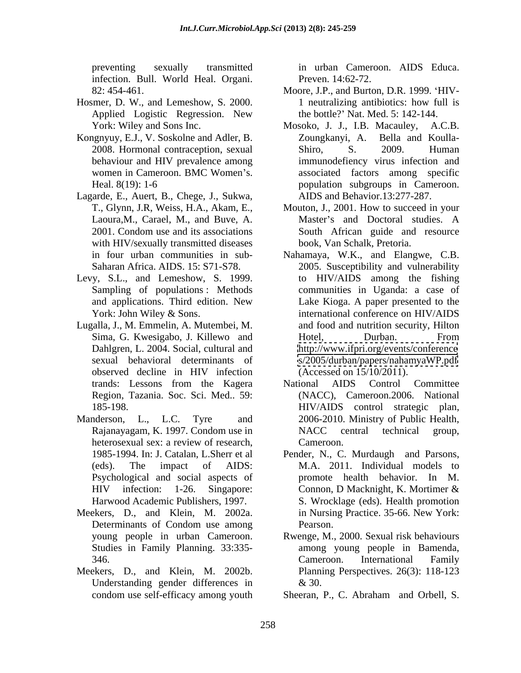infection. Bull. World Heal. Organi.

- Hosmer, D. W., and Lemeshow, S. 2000. 1 neutralizing antibiotics: how full is
- Kongnyuy, E.J., V. Soskolne and Adler, B.
- Lagarde, E., Auert, B., Chege, J., Sukwa, with HIV/sexually transmitted diseases
- Levy, S.L., and Lemeshow, S. 1999.
- Lugalla, J., M. Emmelin, A. Mutembei, M.
- 
- Meekers, D., and Klein, M. 2002a.
- Meekers, D., and Klein, M. 2002b. Understanding gender differences in  $\&$  30.

preventing sexually transmitted in urban Cameroon. AIDS Educa. in urban Cameroon. AIDS Educa. Preven. 14:62-72.

- 82: 454-461. Moore, J.P., and Burton, D.R. 1999. HIV- Applied Logistic Regression. New the bottle?' Nat. Med. 5: 142-144. 1 neutralizing antibiotics: how full is the bottle? Nat. Med. 5: 142-144.
- York: Wiley and Sons Inc. Mosoko, J. J., I.B. Macauley, A.C.B. 2008. Hormonal contraception, sexual Shiro, S. 2009. Human behaviour and HIV prevalence among immunodefiency virus infection and women in Cameroon. BMC Women's. associated factors among specific Heal. 8(19): 1-6 population subgroups in Cameroon. Zoungkanyi, A. Bella and Koulla- Shiro, S. 2009. Human AIDS and Behavior.13:277-287.
- T., Glynn, J.R, Weiss, H.A., Akam, E., Mouton, J., 2001. How to succeed in your Laoura,M., Carael, M., and Buve, A. 2001. Condom use and its associations South African guide and resource Master's and Doctoral studies. A South African guide and resource book, Van Schalk, Pretoria.
- in four urban communities in sub- Nahamaya, W.K., and Elangwe, C.B. Saharan Africa. AIDS. 15: S71-S78. 2005. Susceptibility and vulnerability Sampling of populations: Methods communities in Uganda: a case of and applications. Third edition. New Lake Kioga. A paper presented to the York: John Wiley & Sons. The international conference on HIV/AIDS Sima, G. Kwesigabo, J. Killewo and Dahlgren, L. 2004. Social, cultural and <http://www.ifpri.org/events/conference> sexual behavioral determinants of <s/2005/durban/papers/nahamyaWP.pdf> observed decline in HIV infection (Accessed on 15/10/2011). to HIV/AIDS among the fishing and food and nutrition security, Hilton Hotel, Durban. From (Accessed on 15/10/2011).
- trands: Lessons from the Kagera Region, Tazania. Soc. Sci. Med.. 59: (NACC), Cameroon.2006. National 185-198. HIV/AIDS control strategic plan, Manderson, L., L.C. Tyre and 2006-2010. Ministry of Public Health, Rajanayagam, K. 1997. Condom use in MACC central technical group, heterosexual sex: a review of research, Cameroon. National AIDS Control Committee NACC central technical group, Cameroon.
	- 1985-1994. In: J. Catalan, L.Sherr et al Pender, N., C. Murdaugh and Parsons, (eds). The impact of AIDS: M.A. 2011. Individual models to Psychological and social aspects of promote health behavior. In M. HIV infection: 1-26. Singapore: Connon, D Macknight, K. Mortimer & Harwood Academic Publishers, 1997. S. Wrocklage (eds). Health promotion Determinants of Condom use among Pearson. Connon, D Macknight, K. Mortimer & in Nursing Practice. 35-66. New York: Pearson.
	- young people in urban Cameroon. Rwenge, M., 2000. Sexual risk behaviours Studies in Family Planning. 33:335- among young people in Bamenda, 346. Cameroon. International Family Cameroon. International Family Planning Perspectives. 26(3): 118-123 & 30.

condom use self-efficacy among youth Sheeran, P., C. Abraham and Orbell, S. Sheeran, P., C. Abraham and Orbell, S.